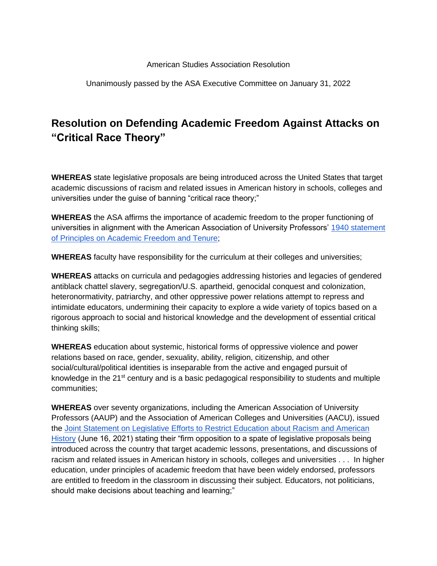## American Studies Association Resolution

Unanimously passed by the ASA Executive Committee on January 31, 2022

## **Resolution on Defending Academic Freedom Against Attacks on "Critical Race Theory"**

**WHEREAS** state legislative proposals are being introduced across the United States that target academic discussions of racism and related issues in American history in schools, colleges and universities under the guise of banning "critical race theory;"

**WHEREAS** the ASA affirms the importance of academic freedom to the proper functioning of universities in alignment with the American Association of University Professors['](https://www.aaup.org/report/1940-statement-principles-academic-freedom-and-tenure) [1940 statement](https://www.aaup.org/report/1940-statement-principles-academic-freedom-and-tenure)  [of Principles on Academic Freedom and Tenure;](https://www.aaup.org/report/1940-statement-principles-academic-freedom-and-tenure)

**WHEREAS** faculty have responsibility for the curriculum at their colleges and universities;

**WHEREAS** attacks on curricula and pedagogies addressing histories and legacies of gendered antiblack chattel slavery, segregation/U.S. apartheid, genocidal conquest and colonization, heteronormativity, patriarchy, and other oppressive power relations attempt to repress and intimidate educators, undermining their capacity to explore a wide variety of topics based on a rigorous approach to social and historical knowledge and the development of essential critical thinking skills;

**WHEREAS** education about systemic, historical forms of oppressive violence and power relations based on race, gender, sexuality, ability, religion, citizenship, and other social/cultural/political identities is inseparable from the active and engaged pursuit of knowledge in the 21<sup>st</sup> century and is a basic pedagogical responsibility to students and multiple communities;

**WHEREAS** over seventy organizations, including the American Association of University Professors (AAUP) and the Association of American Colleges and Universities (AACU), issued the [Joint Statement on Legislative Efforts to Restrict Education about Racism and American](https://www.aaup.org/news/joint-statement-efforts-restrict-education-about-racism#.YT6FBJ5Kgqw)  [History](https://www.aaup.org/news/joint-statement-efforts-restrict-education-about-racism#.YT6FBJ5Kgqw) (June 16, 2021) stating their "firm opposition to a spate of legislative proposals being introduced across the country that target academic lessons, presentations, and discussions of racism and related issues in American history in schools, colleges and universities . . . In higher education, under principles of academic freedom that have been widely endorsed, professors are entitled to freedom in the classroom in discussing their subject. Educators, not politicians, should make decisions about teaching and learning;"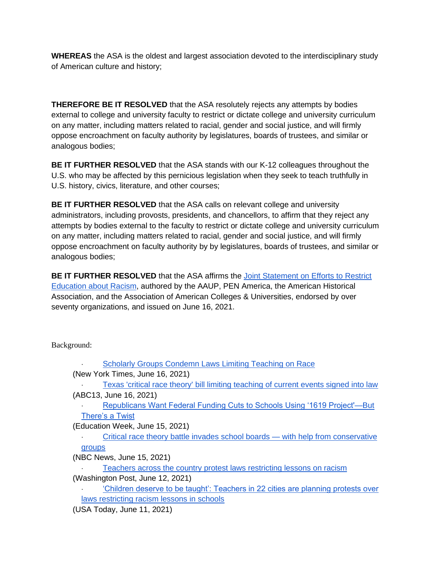**WHEREAS** the ASA is the oldest and largest association devoted to the interdisciplinary study of American culture and history;

**THEREFORE BE IT RESOLVED** that the ASA resolutely rejects any attempts by bodies external to college and university faculty to restrict or dictate college and university curriculum on any matter, including matters related to racial, gender and social justice, and will firmly oppose encroachment on faculty authority by legislatures, boards of trustees, and similar or analogous bodies;

**BE IT FURTHER RESOLVED** that the ASA stands with our K-12 colleagues throughout the U.S. who may be affected by this pernicious legislation when they seek to teach truthfully in U.S. history, civics, literature, and other courses;

**BE IT FURTHER RESOLVED** that the ASA calls on relevant college and university administrators, including provosts, presidents, and chancellors, to affirm that they reject any attempts by bodies external to the faculty to restrict or dictate college and university curriculum on any matter, including matters related to racial, gender and social justice, and will firmly oppose encroachment on faculty authority by by legislatures, boards of trustees, and similar or analogous bodies;

**BE IT FURTHER RESOLVED** that th[e](https://www.aaup.org/news/joint-statement-efforts-restrict-education-about-racism#.YPnfOFNKg6g) ASA affirms the Joint Statement on Efforts to Restrict [Education about Racism,](https://www.aaup.org/news/joint-statement-efforts-restrict-education-about-racism#.YPnfOFNKg6g) authored by the AAUP, PEN America, the American Historical Association, and the Association of American Colleges & Universities, endorsed by over seventy organizations, and issued on June 16, 2021.

Background:

| <b>Scholarly Groups Condemn Laws Limiting Teaching on Race</b>                        |
|---------------------------------------------------------------------------------------|
| (New York Times, June 16, 2021)                                                       |
| Texas 'critical race theory' bill limiting teaching of current events signed into law |
| (ABC13, June 16, 2021)                                                                |
| Republicans Want Federal Funding Cuts to Schools Using '1619 Project'—But             |
| There's a Twist                                                                       |
| (Education Week, June 15, 2021)                                                       |
| Critical race theory battle invades school boards — with help from conservative       |
| groups                                                                                |
| (NBC News, June 15, 2021)                                                             |
| Teachers across the country protest laws restricting lessons on racism                |
| (Washington Post, June 12, 2021)                                                      |
| 'Children deserve to be taught': Teachers in 22 cities are planning protests over     |
| laws restricting racism lessons in schools                                            |
| (USA Today, June 11, 2021)                                                            |